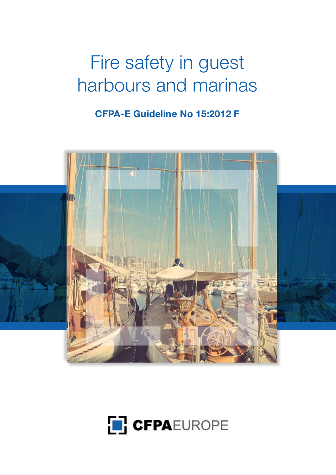# Fire safety in guest harbours and marinas

**CFPA-E Guideline No 15:2012 F** 



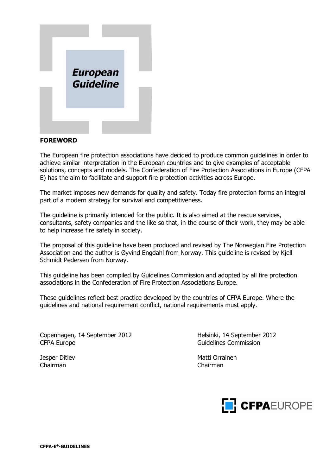

#### **FOREWORD**

The European fire protection associations have decided to produce common guidelines in order to achieve similar interpretation in the European countries and to give examples of acceptable solutions, concepts and models. The Confederation of Fire Protection Associations in Europe (CFPA E) has the aim to facilitate and support fire protection activities across Europe.

The market imposes new demands for quality and safety. Today fire protection forms an integral part of a modern strategy for survival and competitiveness.

The guideline is primarily intended for the public. It is also aimed at the rescue services, consultants, safety companies and the like so that, in the course of their work, they may be able to help increase fire safety in society.

The proposal of this guideline have been produced and revised by The Norwegian Fire Protection Association and the author is Øyvind Engdahl from Norway. This guideline is revised by Kjell Schmidt Pedersen from Norway.

This guideline has been compiled by Guidelines Commission and adopted by all fire protection associations in the Confederation of Fire Protection Associations Europe.

These guidelines reflect best practice developed by the countries of CFPA Europe. Where the guidelines and national requirement conflict, national requirements must apply.

Copenhagen, 14 September 2012 Helsinki, 14 September 2012 CFPA Europe CFPA Europe CFPA Europe CFPA Europe CFPA Europe Commission

Chairman Chairman

Jesper Ditlev Matti Orrainen

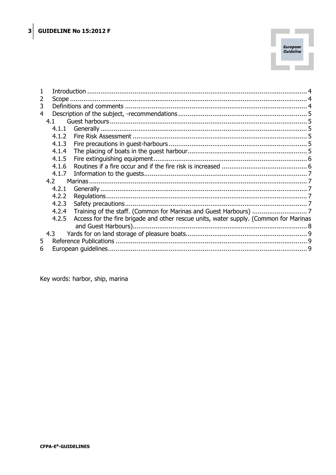

| 2 |       |                                                                                       |  |
|---|-------|---------------------------------------------------------------------------------------|--|
| 3 |       |                                                                                       |  |
| 4 |       |                                                                                       |  |
|   | 4.1   |                                                                                       |  |
|   | 4.1.1 |                                                                                       |  |
|   | 4.1.2 |                                                                                       |  |
|   | 4.1.3 |                                                                                       |  |
|   | 4.1.4 |                                                                                       |  |
|   | 4.1.5 |                                                                                       |  |
|   | 4.1.6 |                                                                                       |  |
|   | 4.1.7 |                                                                                       |  |
|   | 4.2   |                                                                                       |  |
|   | 4.2.1 |                                                                                       |  |
|   | 4.2.2 |                                                                                       |  |
|   | 4.2.3 |                                                                                       |  |
|   | 4.2.4 |                                                                                       |  |
|   | 4.2.5 | Access for the fire brigade and other rescue units, water supply. (Common for Marinas |  |
|   |       |                                                                                       |  |
|   | 4.3   |                                                                                       |  |
| 5 |       |                                                                                       |  |
| 6 |       |                                                                                       |  |

Key words: harbor, ship, marina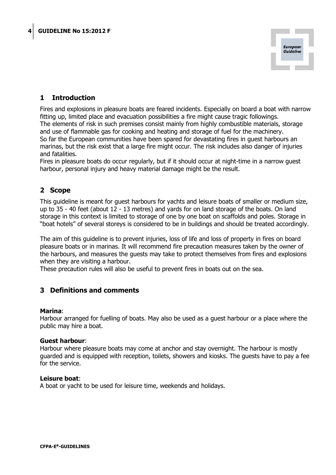

## <span id="page-3-0"></span>**1 Introduction**

Fires and explosions in pleasure boats are feared incidents. Especially on board a boat with narrow fitting up, limited place and evacuation possibilities a fire might cause tragic followings. The elements of risk in such premises consist mainly from highly combustible materials, storage and use of flammable gas for cooking and heating and storage of fuel for the machinery. So far the European communities have been spared for devastating fires in guest harbours an marinas, but the risk exist that a large fire might occur. The risk includes also danger of injuries and fatalities.

Fires in pleasure boats do occur regularly, but if it should occur at night-time in a narrow guest harbour, personal injury and heavy material damage might be the result.

## <span id="page-3-1"></span>**2 Scope**

This guideline is meant for guest harbours for yachts and leisure boats of smaller or medium size, up to 35 - 40 feet (about 12 - 13 metres) and yards for on land storage of the boats. On land storage in this context is limited to storage of one by one boat on scaffolds and poles. Storage in "boat hotels" of several storeys is considered to be in buildings and should be treated accordingly.

The aim of this guideline is to prevent injuries, loss of life and loss of property in fires on board pleasure boats or in marinas. It will recommend fire precaution measures taken by the owner of the harbours, and measures the guests may take to protect themselves from fires and explosions when they are visiting a harbour.

<span id="page-3-2"></span>These precaution rules will also be useful to prevent fires in boats out on the sea.

#### **3 Definitions and comments**

#### **Marina**:

Harbour arranged for fuelling of boats. May also be used as a guest harbour or a place where the public may hire a boat.

#### **Guest harbour**:

Harbour where pleasure boats may come at anchor and stay overnight. The harbour is mostly guarded and is equipped with reception, toilets, showers and kiosks. The guests have to pay a fee for the service.

#### **Leisure boat**:

A boat or yacht to be used for leisure time, weekends and holidays.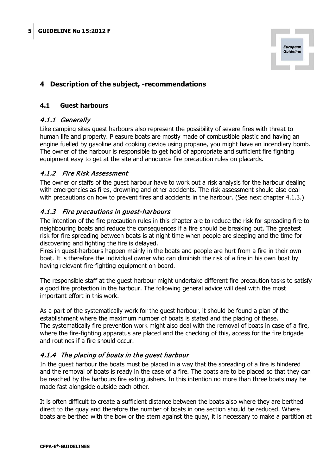

## <span id="page-4-0"></span>**4 Description of the subject, -recommendations**

#### <span id="page-4-1"></span>**4.1 Guest harbours**

#### <span id="page-4-2"></span>4.1.1 Generally

Like camping sites guest harbours also represent the possibility of severe fires with threat to human life and property. Pleasure boats are mostly made of combustible plastic and having an engine fuelled by gasoline and cooking device using propane, you might have an incendiary bomb. The owner of the harbour is responsible to get hold of appropriate and sufficient fire fighting equipment easy to get at the site and announce fire precaution rules on placards.

#### <span id="page-4-3"></span>4.1.2 Fire Risk Assessment

The owner or staffs of the guest harbour have to work out a risk analysis for the harbour dealing with emergencies as fires, drowning and other accidents. The risk assessment should also deal with precautions on how to prevent fires and accidents in the harbour. (See next chapter 4.1.3.)

#### <span id="page-4-4"></span>4.1.3 Fire precautions in guest-harbours

The intention of the fire precaution rules in this chapter are to reduce the risk for spreading fire to neighbouring boats and reduce the consequences if a fire should be breaking out. The greatest risk for fire spreading between boats is at night time when people are sleeping and the time for discovering and fighting the fire is delayed.

Fires in guest-harbours happen mainly in the boats and people are hurt from a fire in their own boat. It is therefore the individual owner who can diminish the risk of a fire in his own boat by having relevant fire-fighting equipment on board.

The responsible staff at the guest harbour might undertake different fire precaution tasks to satisfy a good fire protection in the harbour. The following general advice will deal with the most important effort in this work.

As a part of the systematically work for the guest harbour, it should be found a plan of the establishment where the maximum number of boats is stated and the placing of these. The systematically fire prevention work might also deal with the removal of boats in case of a fire, where the fire-fighting apparatus are placed and the checking of this, access for the fire brigade and routines if a fire should occur.

## <span id="page-4-5"></span>4.1.4 The placing of boats in the guest harbour

In the guest harbour the boats must be placed in a way that the spreading of a fire is hindered and the removal of boats is ready in the case of a fire. The boats are to be placed so that they can be reached by the harbours fire extinguishers. In this intention no more than three boats may be made fast alongside outside each other.

It is often difficult to create a sufficient distance between the boats also where they are berthed direct to the quay and therefore the number of boats in one section should be reduced. Where boats are berthed with the bow or the stern against the quay, it is necessary to make a partition at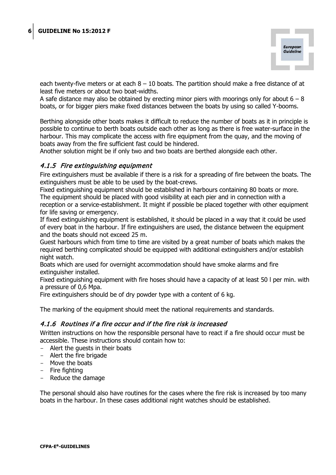

each twenty-five meters or at each  $8 - 10$  boats. The partition should make a free distance of at least five meters or about two boat-widths.

A safe distance may also be obtained by erecting minor piers with moorings only for about  $6 - 8$ boats, or for bigger piers make fixed distances between the boats by using so called Y-booms.

Berthing alongside other boats makes it difficult to reduce the number of boats as it in principle is possible to continue to berth boats outside each other as long as there is free water-surface in the harbour. This may complicate the access with fire equipment from the quay, and the moving of boats away from the fire sufficient fast could be hindered.

<span id="page-5-0"></span>Another solution might be if only two and two boats are berthed alongside each other.

## 4.1.5 Fire extinguishing equipment

Fire extinguishers must be available if there is a risk for a spreading of fire between the boats. The extinguishers must be able to be used by the boat-crews.

Fixed extinguishing equipment should be established in harbours containing 80 boats or more. The equipment should be placed with good visibility at each pier and in connection with a reception or a service-establishment. It might if possible be placed together with other equipment for life saving or emergency.

If fixed extinguishing equipment is established, it should be placed in a way that it could be used of every boat in the harbour. If fire extinguishers are used, the distance between the equipment and the boats should not exceed 25 m.

Guest harbours which from time to time are visited by a great number of boats which makes the required berthing complicated should be equipped with additional extinguishers and/or establish night watch.

Boats which are used for overnight accommodation should have smoke alarms and fire extinguisher installed.

Fixed extinguishing equipment with fire hoses should have a capacity of at least 50 l per min. with a pressure of 0,6 Mpa.

Fire extinguishers should be of dry powder type with a content of 6 kg.

<span id="page-5-1"></span>The marking of the equipment should meet the national requirements and standards.

#### 4.1.6 Routines if a fire occur and if the fire risk is increased

Written instructions on how the responsible personal have to react if a fire should occur must be accessible. These instructions should contain how to:

- Alert the guests in their boats
- Alert the fire brigade
- Move the boats
- Fire fighting
- Reduce the damage

The personal should also have routines for the cases where the fire risk is increased by too many boats in the harbour. In these cases additional night watches should be established.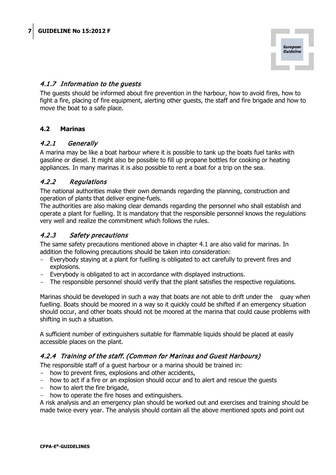

## <span id="page-6-0"></span>4.1.7 Information to the guests

The guests should be informed about fire prevention in the harbour, how to avoid fires, how to fight a fire, placing of fire equipment, alerting other guests, the staff and fire brigade and how to move the boat to a safe place.

#### <span id="page-6-1"></span>**4.2 Marinas**

#### <span id="page-6-2"></span>4.2.1 Generally

A marina may be like a boat harbour where it is possible to tank up the boats fuel tanks with gasoline or diesel. It might also be possible to fill up propane bottles for cooking or heating appliances. In many marinas it is also possible to rent a boat for a trip on the sea.

#### <span id="page-6-3"></span>4.2.2 Regulations

The national authorities make their own demands regarding the planning, construction and operation of plants that deliver engine-fuels.

The authorities are also making clear demands regarding the personnel who shall establish and operate a plant for fuelling. It is mandatory that the responsible personnel knows the regulations very well and realize the commitment which follows the rules.

#### <span id="page-6-4"></span>4.2.3 Safety precautions

The same safety precautions mentioned above in chapter 4.1 are also valid for marinas. In addition the following precautions should be taken into consideration:

- Everybody staying at a plant for fuelling is obligated to act carefully to prevent fires and explosions.
- Everybody is obligated to act in accordance with displayed instructions.
- The responsible personnel should verify that the plant satisfies the respective regulations.

Marinas should be developed in such a way that boats are not able to drift under the quay when fuelling. Boats should be moored in a way so it quickly could be shifted if an emergency situation should occur, and other boats should not be moored at the marina that could cause problems with shifting in such a situation.

A sufficient number of extinguishers suitable for flammable liquids should be placed at easily accessible places on the plant.

#### <span id="page-6-5"></span>4.2.4 Training of the staff. (Common for Marinas and Guest Harbours)

The responsible staff of a guest harbour or a marina should be trained in:

- how to prevent fires, explosions and other accidents,
- how to act if a fire or an explosion should occur and to alert and rescue the quests
- how to alert the fire brigade,
- how to operate the fire hoses and extinguishers.

A risk analysis and an emergency plan should be worked out and exercises and training should be made twice every year. The analysis should contain all the above mentioned spots and point out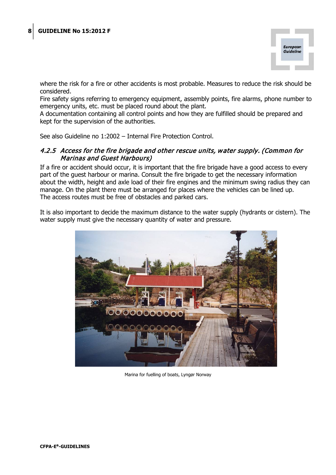

where the risk for a fire or other accidents is most probable. Measures to reduce the risk should be considered.

Fire safety signs referring to emergency equipment, assembly points, fire alarms, phone number to emergency units, etc. must be placed round about the plant.

A documentation containing all control points and how they are fulfilled should be prepared and kept for the supervision of the authorities.

<span id="page-7-0"></span>See also Guideline no 1:2002 – Internal Fire Protection Control.

#### 4.2.5 Access for the fire brigade and other rescue units, water supply. (Common for Marinas and Guest Harbours)

If a fire or accident should occur, it is important that the fire brigade have a good access to every part of the guest harbour or marina. Consult the fire brigade to get the necessary information about the width, height and axle load of their fire engines and the minimum swing radius they can manage. On the plant there must be arranged for places where the vehicles can be lined up. The access routes must be free of obstacles and parked cars.

It is also important to decide the maximum distance to the water supply (hydrants or cistern). The water supply must give the necessary quantity of water and pressure.



Marina for fuelling of boats, Lyngør Norway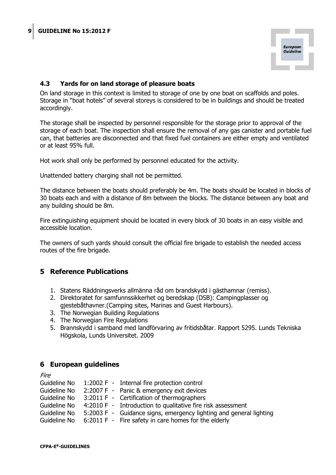

#### <span id="page-8-0"></span>**4.3 Yards for on land storage of pleasure boats**

On land storage in this context is limited to storage of one by one boat on scaffolds and poles. Storage in "boat hotels" of several storeys is considered to be in buildings and should be treated accordingly.

The storage shall be inspected by personnel responsible for the storage prior to approval of the storage of each boat. The inspection shall ensure the removal of any gas canister and portable fuel can, that batteries are disconnected and that fixed fuel containers are either empty and ventilated or at least 95% full.

Hot work shall only be performed by personnel educated for the activity.

Unattended battery charging shall not be permitted.

The distance between the boats should preferably be 4m. The boats should be located in blocks of 30 boats each and with a distance of 8m between the blocks. The distance between any boat and any building should be 8m.

Fire extinguishing equipment should be located in every block of 30 boats in an easy visible and accessible location.

<span id="page-8-1"></span>The owners of such yards should consult the official fire brigade to establish the needed access routes of the fire brigade.

#### **5 Reference Publications**

- 1. Statens Räddningsverks allmänna råd om brandskydd i gästhamnar (remiss).
- 2. Direktoratet for samfunnssikkerhet og beredskap (DSB): Campingplasser og gjestebåthavner.(Camping sites, Marinas and Guest Harbours).
- 3. The Norwegian Building Regulations
- 4. The Norwegian Fire Regulations
- 5. Brannskydd i samband med landförvaring av fritidsbåtar. Rapport 5295. Lunds Tekniska Högskola, Lunds Universitet. 2009

#### <span id="page-8-2"></span>**6 European guidelines**

| Fire         |                                                                    |
|--------------|--------------------------------------------------------------------|
| Guideline No | 1:2002 F - Internal fire protection control                        |
| Guideline No | 2:2007 F - Panic & emergency exit devices                          |
| Guideline No | 3:2011 F - Certification of thermographers                         |
| Guideline No | 4:2010 F - Introduction to qualitative fire risk assessment        |
| Guideline No | 5:2003 F - Guidance signs, emergency lighting and general lighting |
| Guideline No | 6:2011 F - Fire safety in care homes for the elderly               |